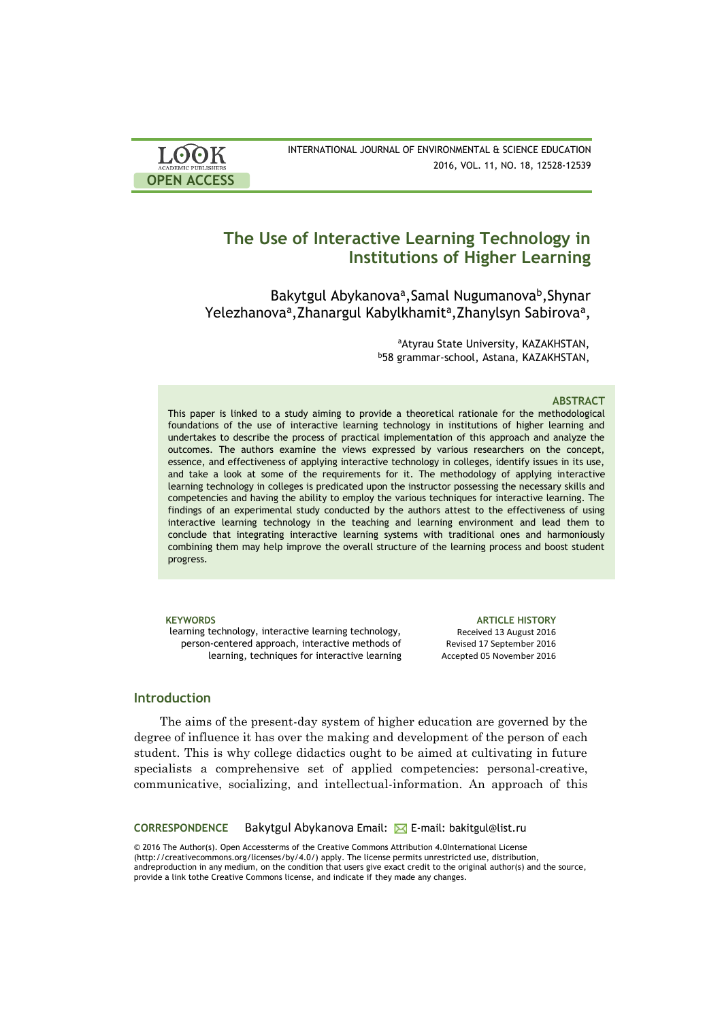| <b>LOOK</b>                | INTERNATIONAL JOURNAL OF ENVIRONMENTAL & SCIENCE EDUCATION |
|----------------------------|------------------------------------------------------------|
| <b>ACADEMIC PUBLISHERS</b> | 2016, VOL. 11, NO. 18, 12528-12539                         |
| <b>OPEN ACCESS</b>         |                                                            |

# **The Use of Interactive Learning Technology in Institutions of Higher Learning**

Bakytgul Abykanova<sup>a</sup>, Samal Nugumanova<sup>b</sup>, Shynar Yelezhanova<sup>a</sup>, Zhanargul Kabylkhamit<sup>a</sup>, Zhanylsyn Sabirova<sup>a</sup>,

> aAtyrau State University, KAZAKHSTAN, <sup>b</sup>58 grammar-school, Astana, KAZAKHSTAN,

#### **ABSTRACT**

This paper is linked to a study aiming to provide a theoretical rationale for the methodological foundations of the use of interactive learning technology in institutions of higher learning and undertakes to describe the process of practical implementation of this approach and analyze the outcomes. The authors examine the views expressed by various researchers on the concept, essence, and effectiveness of applying interactive technology in colleges, identify issues in its use, and take a look at some of the requirements for it. The methodology of applying interactive learning technology in colleges is predicated upon the instructor possessing the necessary skills and competencies and having the ability to employ the various techniques for interactive learning. The findings of an experimental study conducted by the authors attest to the effectiveness of using interactive learning technology in the teaching and learning environment and lead them to conclude that integrating interactive learning systems with traditional ones and harmoniously combining them may help improve the overall structure of the learning process and boost student progress.

learning technology, interactive learning technology, person-centered approach, interactive methods of learning, techniques for interactive learning

**KEYWORDS ARTICLE HISTORY** Received 13 August 2016 Revised 17 September 2016 Accepted 05 November 2016

## **Introduction**

The aims of the present-day system of higher education are governed by the degree of influence it has over the making and development of the person of each student. This is why college didactics ought to be aimed at cultivating in future specialists a comprehensive set of applied competencies: personal-creative, communicative, socializing, and intellectual-information. An approach of this

**CORRESPONDENCE** Bakytgul Abykanova Email: E-mail: bakitgul@list.ru

© 2016 The Author(s). Open Accessterms of the Creative Commons Attribution 4.0International License (http://creativecommons.org/licenses/by/4.0/) apply. The license permits unrestricted use, distribution, andreproduction in any medium, on the condition that users give exact credit to the original author(s) and the source, provide a link tothe Creative Commons license, and indicate if they made any changes.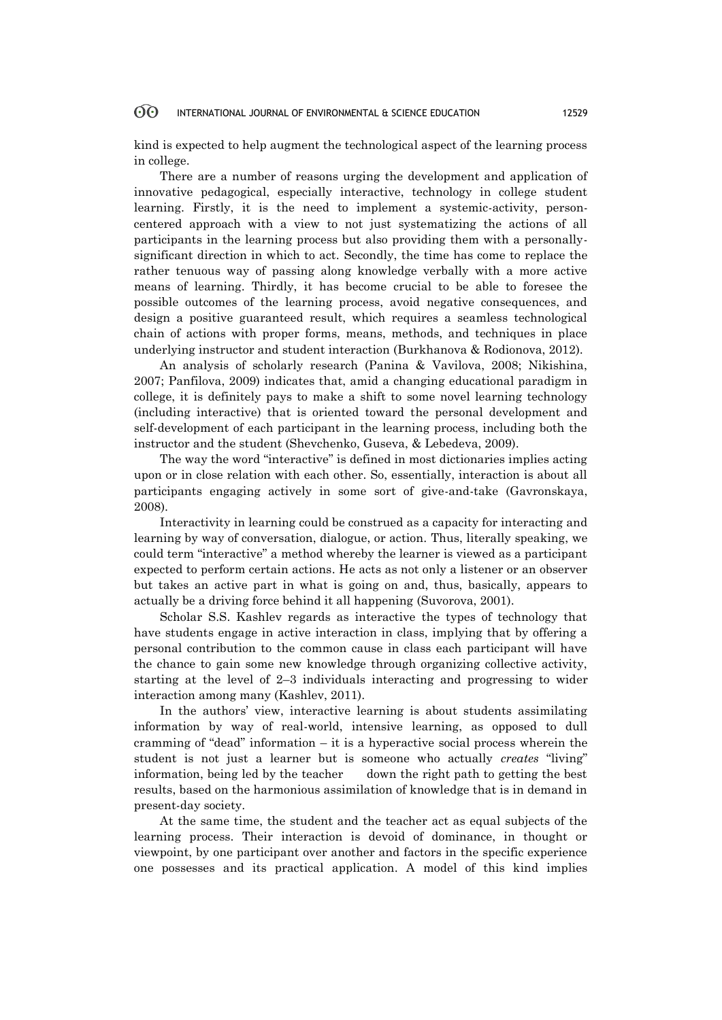kind is expected to help augment the technological aspect of the learning process in college.

There are a number of reasons urging the development and application of innovative pedagogical, especially interactive, technology in college student learning. Firstly, it is the need to implement a systemic-activity, personcentered approach with a view to not just systematizing the actions of all participants in the learning process but also providing them with a personallysignificant direction in which to act. Secondly, the time has come to replace the rather tenuous way of passing along knowledge verbally with a more active means of learning. Thirdly, it has become crucial to be able to foresee the possible outcomes of the learning process, avoid negative consequences, and design a positive guaranteed result, which requires a seamless technological chain of actions with proper forms, means, methods, and techniques in place underlying instructor and student interaction (Burkhanova & Rodionova, 2012).

An analysis of scholarly research (Panina & Vavilova, 2008; Nikishina, 2007; Panfilova, 2009) indicates that, amid a changing educational paradigm in college, it is definitely pays to make a shift to some novel learning technology (including interactive) that is oriented toward the personal development and self-development of each participant in the learning process, including both the instructor and the student (Shevchenko, Guseva, & Lebedeva, 2009).

The way the word "interactive" is defined in most dictionaries implies acting upon or in close relation with each other. So, essentially, interaction is about all participants engaging actively in some sort of give-and-take (Gavronskaya, 2008).

Interactivity in learning could be construed as a capacity for interacting and learning by way of conversation, dialogue, or action. Thus, literally speaking, we could term "interactive" a method whereby the learner is viewed as a participant expected to perform certain actions. He acts as not only a listener or an observer but takes an active part in what is going on and, thus, basically, appears to actually be a driving force behind it all happening (Suvorova, 2001).

Scholar S.S. Kashlev regards as interactive the types of technology that have students engage in active interaction in class, implying that by offering a personal contribution to the common cause in class each participant will have the chance to gain some new knowledge through organizing collective activity, starting at the level of 2–3 individuals interacting and progressing to wider interaction among many (Kashlev, 2011).

In the authors' view, interactive learning is about students assimilating information by way of real-world, intensive learning, as opposed to dull cramming of "dead" information  $-$  it is a hyperactive social process wherein the student is not just a learner but is someone who actually *creates* "living" information, being led by the teacher down the right path to getting the best results, based on the harmonious assimilation of knowledge that is in demand in present-day society.

At the same time, the student and the teacher act as equal subjects of the learning process. Their interaction is devoid of dominance, in thought or viewpoint, by one participant over another and factors in the specific experience one possesses and its practical application. A model of this kind implies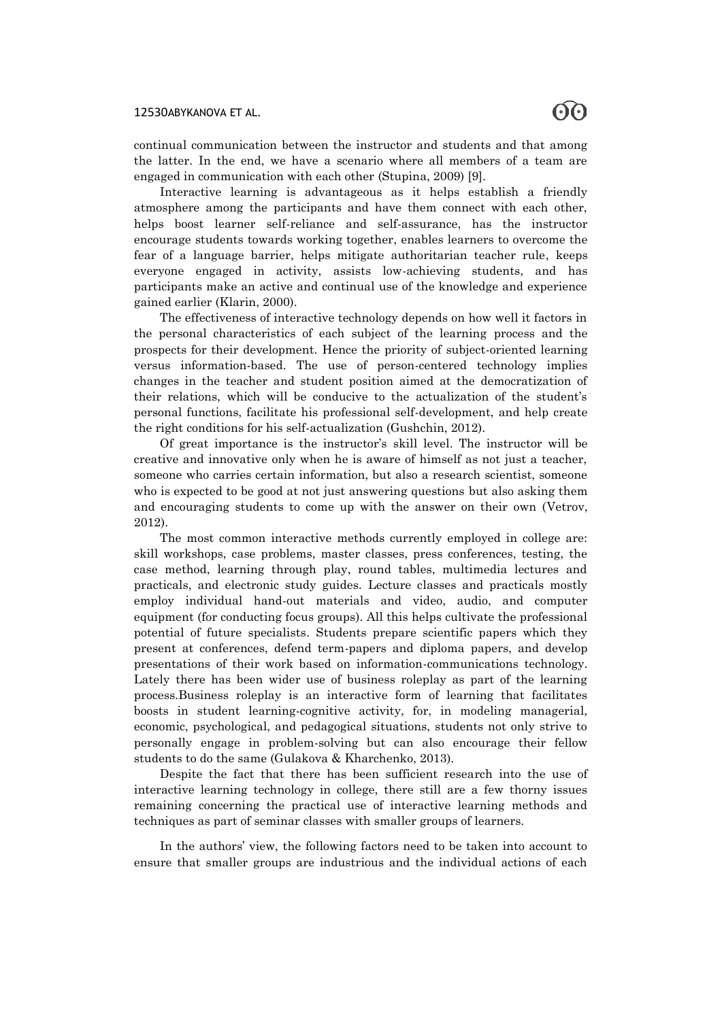continual communication between the instructor and students and that among the latter. In the end, we have a scenario where all members of a team are engaged in communication with each other (Stupina, 2009) [9].

Interactive learning is advantageous as it helps establish a friendly atmosphere among the participants and have them connect with each other, helps boost learner self-reliance and self-assurance, has the instructor encourage students towards working together, enables learners to overcome the fear of a language barrier, helps mitigate authoritarian teacher rule, keeps everyone engaged in activity, assists low-achieving students, and has participants make an active and continual use of the knowledge and experience gained earlier (Klarin, 2000).

The effectiveness of interactive technology depends on how well it factors in the personal characteristics of each subject of the learning process and the prospects for their development. Hence the priority of subject-oriented learning versus information-based. The use of person-centered technology implies changes in the teacher and student position aimed at the democratization of their relations, which will be conducive to the actualization of the student's personal functions, facilitate his professional self-development, and help create the right conditions for his self-actualization (Gushchin, 2012).

Of great importance is the instructor's skill level. The instructor will be creative and innovative only when he is aware of himself as not just a teacher, someone who carries certain information, but also a research scientist, someone who is expected to be good at not just answering questions but also asking them and encouraging students to come up with the answer on their own (Vetrov, 2012).

The most common interactive methods currently employed in college are: skill workshops, case problems, master classes, press conferences, testing, the case method, learning through play, round tables, multimedia lectures and practicals, and electronic study guides. Lecture classes and practicals mostly employ individual hand-out materials and video, audio, and computer equipment (for conducting focus groups). All this helps cultivate the professional potential of future specialists. Students prepare scientific papers which they present at conferences, defend term-papers and diploma papers, and develop presentations of their work based on information-communications technology. Lately there has been wider use of business roleplay as part of the learning process.Business roleplay is an interactive form of learning that facilitates boosts in student learning-cognitive activity, for, in modeling managerial, economic, psychological, and pedagogical situations, students not only strive to personally engage in problem-solving but can also encourage their fellow students to do the same (Gulakova & Kharchenko, 2013).

Despite the fact that there has been sufficient research into the use of interactive learning technology in college, there still are a few thorny issues remaining concerning the practical use of interactive learning methods and techniques as part of seminar classes with smaller groups of learners.

In the authors' view, the following factors need to be taken into account to ensure that smaller groups are industrious and the individual actions of each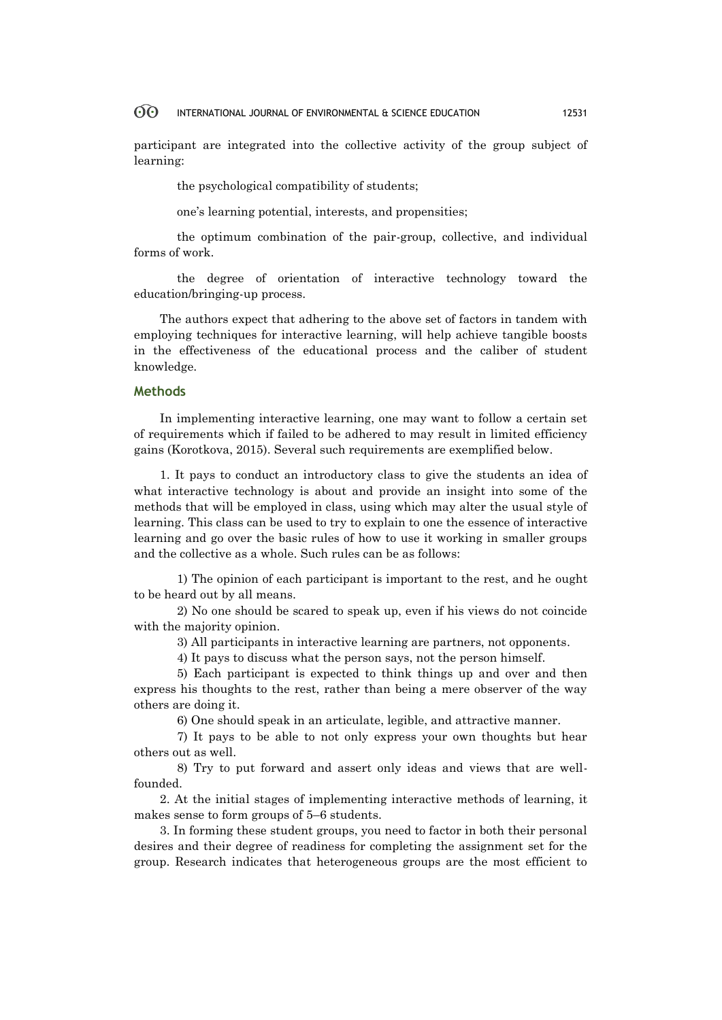participant are integrated into the collective activity of the group subject of learning:

the psychological compatibility of students;

one's learning potential, interests, and propensities;

the optimum combination of the pair-group, collective, and individual forms of work.

the degree of orientation of interactive technology toward the education/bringing-up process.

The authors expect that adhering to the above set of factors in tandem with employing techniques for interactive learning, will help achieve tangible boosts in the effectiveness of the educational process and the caliber of student knowledge.

### **Methods**

In implementing interactive learning, one may want to follow a certain set of requirements which if failed to be adhered to may result in limited efficiency gains (Korotkova, 2015). Several such requirements are exemplified below.

1. It pays to conduct an introductory class to give the students an idea of what interactive technology is about and provide an insight into some of the methods that will be employed in class, using which may alter the usual style of learning. This class can be used to try to explain to one the essence of interactive learning and go over the basic rules of how to use it working in smaller groups and the collective as a whole. Such rules can be as follows:

1) The opinion of each participant is important to the rest, and he ought to be heard out by all means.

2) No one should be scared to speak up, even if his views do not coincide with the majority opinion.

3) All participants in interactive learning are partners, not opponents.

4) It pays to discuss what the person says, not the person himself.

5) Each participant is expected to think things up and over and then express his thoughts to the rest, rather than being a mere observer of the way others are doing it.

6) One should speak in an articulate, legible, and attractive manner.

7) It pays to be able to not only express your own thoughts but hear others out as well.

8) Try to put forward and assert only ideas and views that are wellfounded.

2. At the initial stages of implementing interactive methods of learning, it makes sense to form groups of 5–6 students.

3. In forming these student groups, you need to factor in both their personal desires and their degree of readiness for completing the assignment set for the group. Research indicates that heterogeneous groups are the most efficient to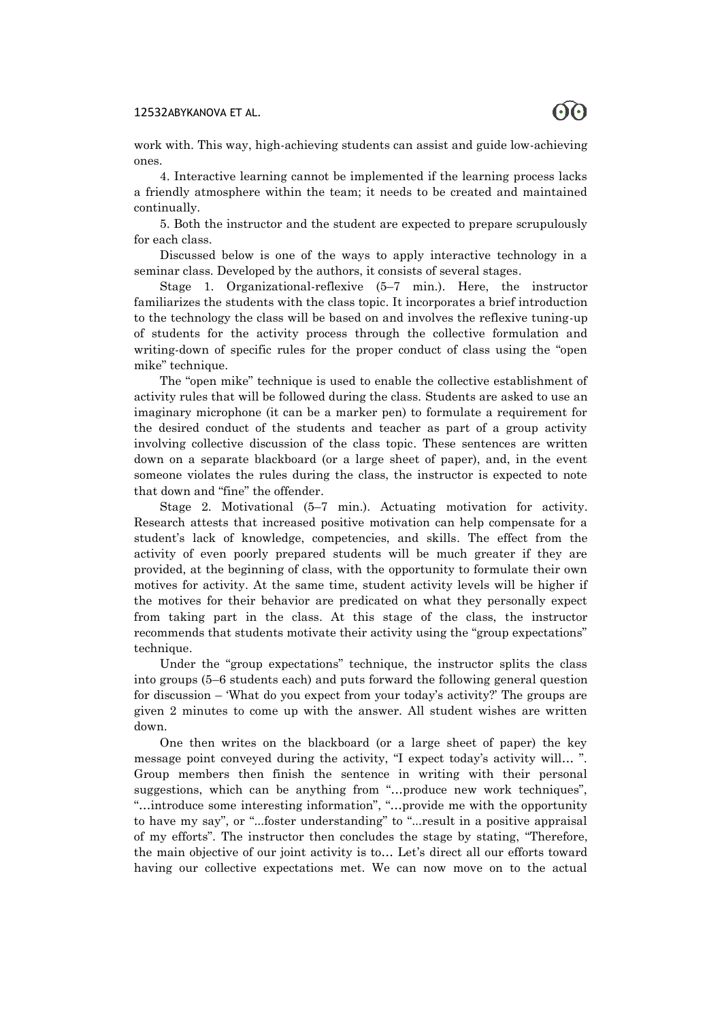

work with. This way, high-achieving students can assist and guide low-achieving ones.

4. Interactive learning cannot be implemented if the learning process lacks a friendly atmosphere within the team; it needs to be created and maintained continually.

5. Both the instructor and the student are expected to prepare scrupulously for each class.

Discussed below is one of the ways to apply interactive technology in a seminar class. Developed by the authors, it consists of several stages.

Stage 1. Organizational-reflexive (5–7 min.). Here, the instructor familiarizes the students with the class topic. It incorporates a brief introduction to the technology the class will be based on and involves the reflexive tuning-up of students for the activity process through the collective formulation and writing-down of specific rules for the proper conduct of class using the "open mike" technique.

The "open mike" technique is used to enable the collective establishment of activity rules that will be followed during the class. Students are asked to use an imaginary microphone (it can be a marker pen) to formulate a requirement for the desired conduct of the students and teacher as part of a group activity involving collective discussion of the class topic. These sentences are written down on a separate blackboard (or a large sheet of paper), and, in the event someone violates the rules during the class, the instructor is expected to note that down and "fine" the offender.

Stage 2. Motivational (5–7 min.). Actuating motivation for activity. Research attests that increased positive motivation can help compensate for a student's lack of knowledge, competencies, and skills. The effect from the activity of even poorly prepared students will be much greater if they are provided, at the beginning of class, with the opportunity to formulate their own motives for activity. At the same time, student activity levels will be higher if the motives for their behavior are predicated on what they personally expect from taking part in the class. At this stage of the class, the instructor recommends that students motivate their activity using the "group expectations" technique.

Under the "group expectations" technique, the instructor splits the class into groups (5–6 students each) and puts forward the following general question for discussion – 'What do you expect from your today's activity?' The groups are given 2 minutes to come up with the answer. All student wishes are written down.

One then writes on the blackboard (or a large sheet of paper) the key message point conveyed during the activity, "I expect today's activity will… ". Group members then finish the sentence in writing with their personal suggestions, which can be anything from "…produce new work techniques", "…introduce some interesting information", "…provide me with the opportunity to have my say", or "...foster understanding" to "...result in a positive appraisal of my efforts". The instructor then concludes the stage by stating, "Therefore, the main objective of our joint activity is to… Let's direct all our efforts toward having our collective expectations met. We can now move on to the actual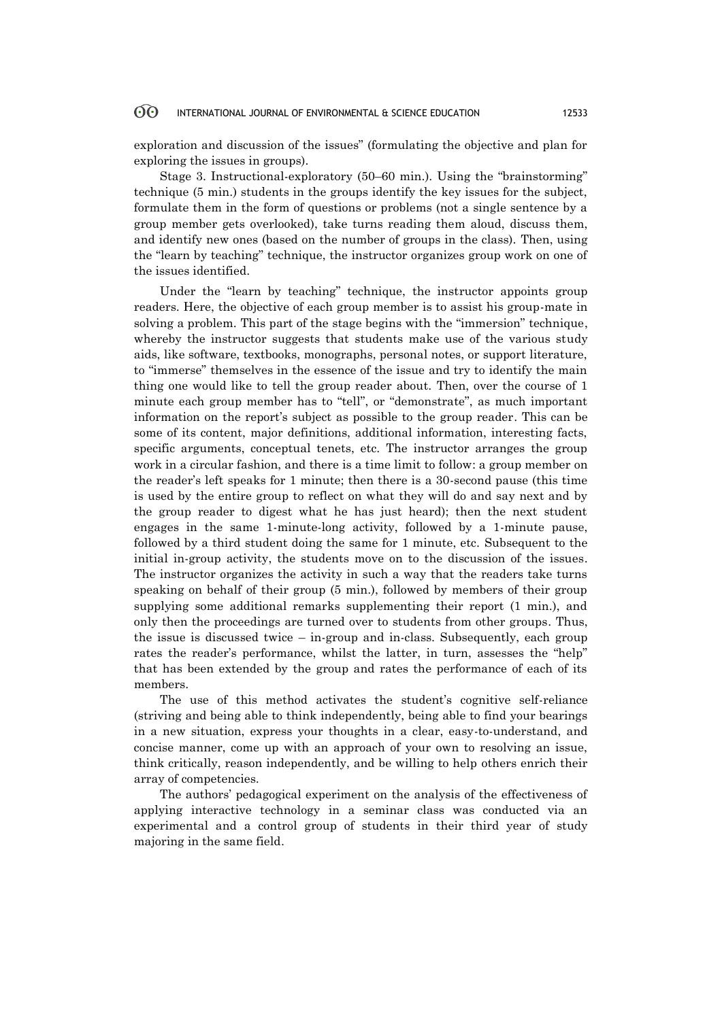exploration and discussion of the issues" (formulating the objective and plan for exploring the issues in groups).

Stage 3. Instructional-exploratory (50–60 min.). Using the "brainstorming" technique (5 min.) students in the groups identify the key issues for the subject, formulate them in the form of questions or problems (not a single sentence by a group member gets overlooked), take turns reading them aloud, discuss them, and identify new ones (based on the number of groups in the class). Then, using the "learn by teaching" technique, the instructor organizes group work on one of the issues identified.

Under the "learn by teaching" technique, the instructor appoints group readers. Here, the objective of each group member is to assist his group-mate in solving a problem. This part of the stage begins with the "immersion" technique, whereby the instructor suggests that students make use of the various study aids, like software, textbooks, monographs, personal notes, or support literature, to "immerse" themselves in the essence of the issue and try to identify the main thing one would like to tell the group reader about. Then, over the course of 1 minute each group member has to "tell", or "demonstrate", as much important information on the report's subject as possible to the group reader. This can be some of its content, major definitions, additional information, interesting facts, specific arguments, conceptual tenets, etc. The instructor arranges the group work in a circular fashion, and there is a time limit to follow: a group member on the reader's left speaks for 1 minute; then there is a 30-second pause (this time is used by the entire group to reflect on what they will do and say next and by the group reader to digest what he has just heard); then the next student engages in the same 1-minute-long activity, followed by a 1-minute pause, followed by a third student doing the same for 1 minute, etc. Subsequent to the initial in-group activity, the students move on to the discussion of the issues. The instructor organizes the activity in such a way that the readers take turns speaking on behalf of their group (5 min.), followed by members of their group supplying some additional remarks supplementing their report (1 min.), and only then the proceedings are turned over to students from other groups. Thus, the issue is discussed twice – in-group and in-class. Subsequently, each group rates the reader's performance, whilst the latter, in turn, assesses the "help" that has been extended by the group and rates the performance of each of its members.

The use of this method activates the student's cognitive self-reliance (striving and being able to think independently, being able to find your bearings in a new situation, express your thoughts in a clear, easy-to-understand, and concise manner, come up with an approach of your own to resolving an issue, think critically, reason independently, and be willing to help others enrich their array of competencies.

The authors' pedagogical experiment on the analysis of the effectiveness of applying interactive technology in a seminar class was conducted via an experimental and a control group of students in their third year of study majoring in the same field.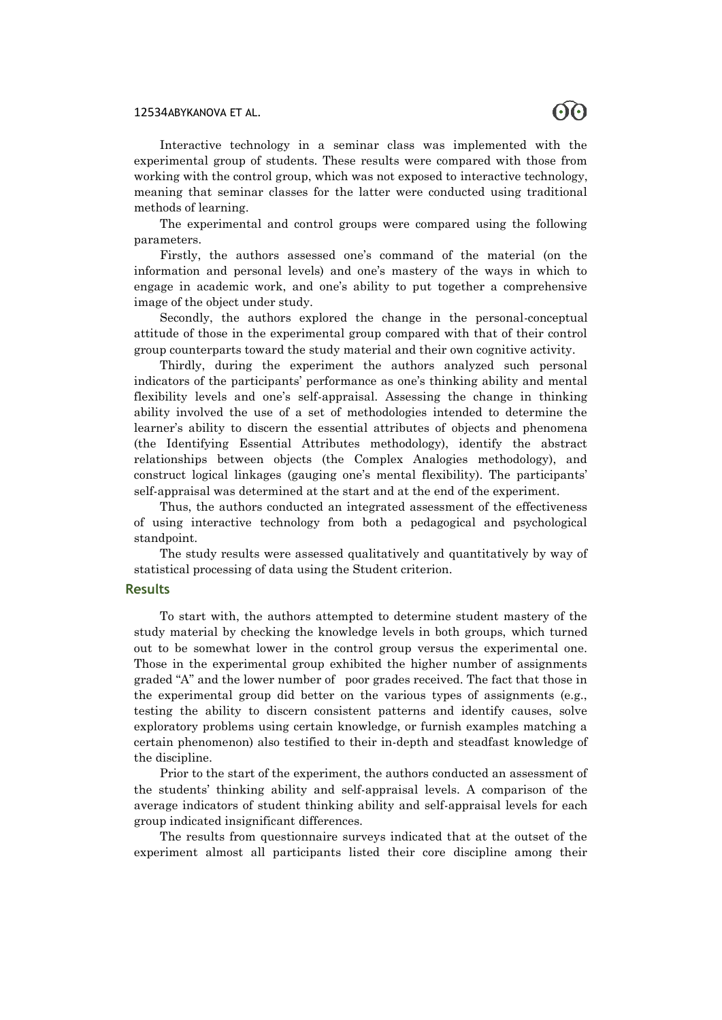

Interactive technology in a seminar class was implemented with the experimental group of students. These results were compared with those from working with the control group, which was not exposed to interactive technology, meaning that seminar classes for the latter were conducted using traditional methods of learning.

The experimental and control groups were compared using the following parameters.

Firstly, the authors assessed one's command of the material (on the information and personal levels) and one's mastery of the ways in which to engage in academic work, and one's ability to put together a comprehensive image of the object under study.

Secondly, the authors explored the change in the personal-conceptual attitude of those in the experimental group compared with that of their control group counterparts toward the study material and their own cognitive activity.

Thirdly, during the experiment the authors analyzed such personal indicators of the participants' performance as one's thinking ability and mental flexibility levels and one's self-appraisal. Assessing the change in thinking ability involved the use of a set of methodologies intended to determine the learner's ability to discern the essential attributes of objects and phenomena (the Identifying Essential Attributes methodology), identify the abstract relationships between objects (the Complex Analogies methodology), and construct logical linkages (gauging one's mental flexibility). The participants' self-appraisal was determined at the start and at the end of the experiment.

Thus, the authors conducted an integrated assessment of the effectiveness of using interactive technology from both a pedagogical and psychological standpoint.

The study results were assessed qualitatively and quantitatively by way of statistical processing of data using the Student criterion.

### **Results**

To start with, the authors attempted to determine student mastery of the study material by checking the knowledge levels in both groups, which turned out to be somewhat lower in the control group versus the experimental one. Those in the experimental group exhibited the higher number of assignments graded "A" and the lower number of poor grades received. The fact that those in the experimental group did better on the various types of assignments (e.g., testing the ability to discern consistent patterns and identify causes, solve exploratory problems using certain knowledge, or furnish examples matching a certain phenomenon) also testified to their in-depth and steadfast knowledge of the discipline.

Prior to the start of the experiment, the authors conducted an assessment of the students' thinking ability and self-appraisal levels. A comparison of the average indicators of student thinking ability and self-appraisal levels for each group indicated insignificant differences.

The results from questionnaire surveys indicated that at the outset of the experiment almost all participants listed their core discipline among their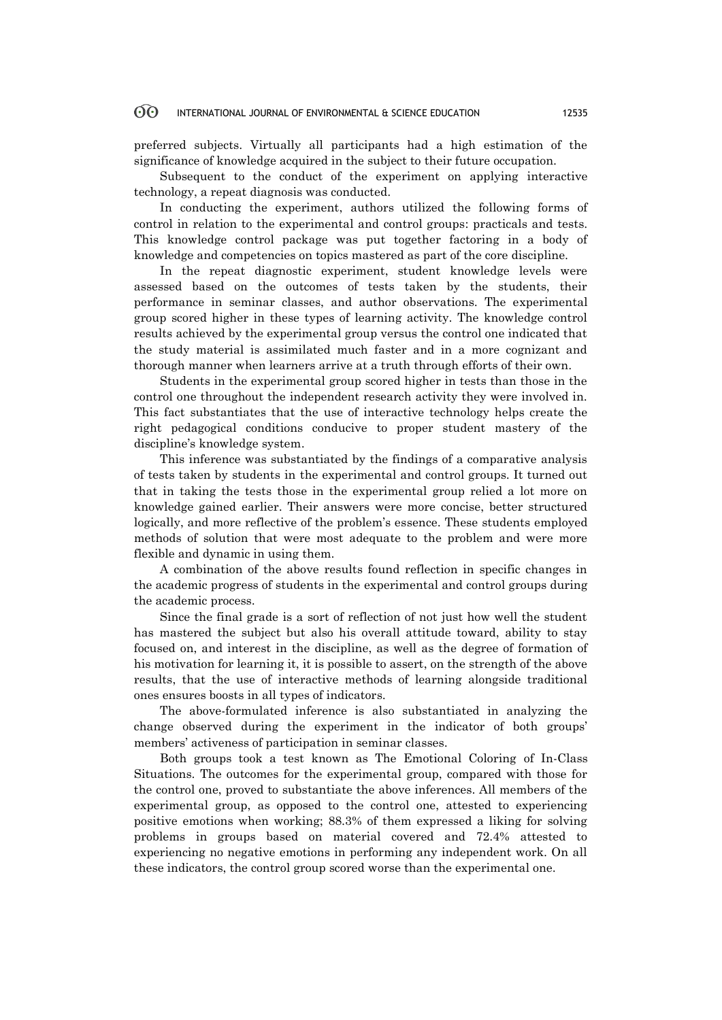preferred subjects. Virtually all participants had a high estimation of the significance of knowledge acquired in the subject to their future occupation.

Subsequent to the conduct of the experiment on applying interactive technology, a repeat diagnosis was conducted.

In conducting the experiment, authors utilized the following forms of control in relation to the experimental and control groups: practicals and tests. This knowledge control package was put together factoring in a body of knowledge and competencies on topics mastered as part of the core discipline.

In the repeat diagnostic experiment, student knowledge levels were assessed based on the outcomes of tests taken by the students, their performance in seminar classes, and author observations. The experimental group scored higher in these types of learning activity. The knowledge control results achieved by the experimental group versus the control one indicated that the study material is assimilated much faster and in a more cognizant and thorough manner when learners arrive at a truth through efforts of their own.

Students in the experimental group scored higher in tests than those in the control one throughout the independent research activity they were involved in. This fact substantiates that the use of interactive technology helps create the right pedagogical conditions conducive to proper student mastery of the discipline's knowledge system.

This inference was substantiated by the findings of a comparative analysis of tests taken by students in the experimental and control groups. It turned out that in taking the tests those in the experimental group relied a lot more on knowledge gained earlier. Their answers were more concise, better structured logically, and more reflective of the problem's essence. These students employed methods of solution that were most adequate to the problem and were more flexible and dynamic in using them.

A combination of the above results found reflection in specific changes in the academic progress of students in the experimental and control groups during the academic process.

Since the final grade is a sort of reflection of not just how well the student has mastered the subject but also his overall attitude toward, ability to stay focused on, and interest in the discipline, as well as the degree of formation of his motivation for learning it, it is possible to assert, on the strength of the above results, that the use of interactive methods of learning alongside traditional ones ensures boosts in all types of indicators.

The above-formulated inference is also substantiated in analyzing the change observed during the experiment in the indicator of both groups' members' activeness of participation in seminar classes.

Both groups took a test known as The Emotional Coloring of In-Class Situations. The outcomes for the experimental group, compared with those for the control one, proved to substantiate the above inferences. All members of the experimental group, as opposed to the control one, attested to experiencing positive emotions when working; 88.3% of them expressed a liking for solving problems in groups based on material covered and 72.4% attested to experiencing no negative emotions in performing any independent work. On all these indicators, the control group scored worse than the experimental one.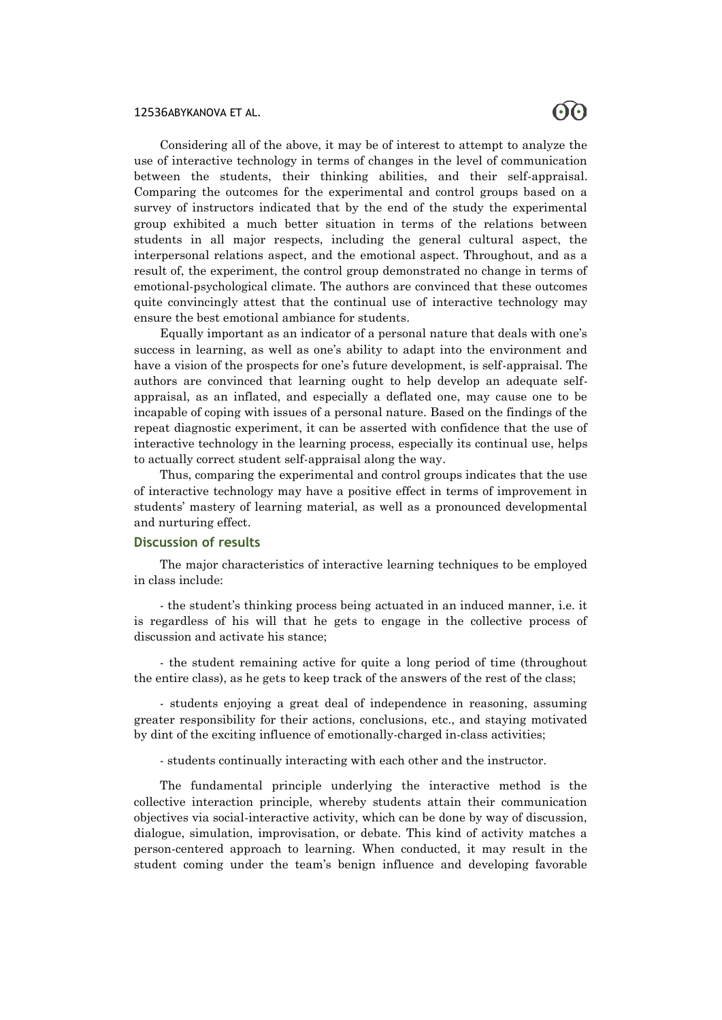Considering all of the above, it may be of interest to attempt to analyze the use of interactive technology in terms of changes in the level of communication between the students, their thinking abilities, and their self-appraisal. Comparing the outcomes for the experimental and control groups based on a survey of instructors indicated that by the end of the study the experimental group exhibited a much better situation in terms of the relations between students in all major respects, including the general cultural aspect, the interpersonal relations aspect, and the emotional aspect. Throughout, and as a result of, the experiment, the control group demonstrated no change in terms of emotional-psychological climate. The authors are convinced that these outcomes quite convincingly attest that the continual use of interactive technology may ensure the best emotional ambiance for students.

Equally important as an indicator of a personal nature that deals with one's success in learning, as well as one's ability to adapt into the environment and have a vision of the prospects for one's future development, is self-appraisal. The authors are convinced that learning ought to help develop an adequate selfappraisal, as an inflated, and especially a deflated one, may cause one to be incapable of coping with issues of a personal nature. Based on the findings of the repeat diagnostic experiment, it can be asserted with confidence that the use of interactive technology in the learning process, especially its continual use, helps to actually correct student self-appraisal along the way.

Thus, comparing the experimental and control groups indicates that the use of interactive technology may have a positive effect in terms of improvement in students' mastery of learning material, as well as a pronounced developmental and nurturing effect.

### **Discussion of results**

The major characteristics of interactive learning techniques to be employed in class include:

- the student's thinking process being actuated in an induced manner, i.e. it is regardless of his will that he gets to engage in the collective process of discussion and activate his stance;

- the student remaining active for quite a long period of time (throughout the entire class), as he gets to keep track of the answers of the rest of the class;

- students enjoying a great deal of independence in reasoning, assuming greater responsibility for their actions, conclusions, etc., and staying motivated by dint of the exciting influence of emotionally-charged in-class activities;

- students continually interacting with each other and the instructor.

The fundamental principle underlying the interactive method is the collective interaction principle, whereby students attain their communication objectives via social-interactive activity, which can be done by way of discussion, dialogue, simulation, improvisation, or debate. This kind of activity matches a person-centered approach to learning. When conducted, it may result in the student coming under the team's benign influence and developing favorable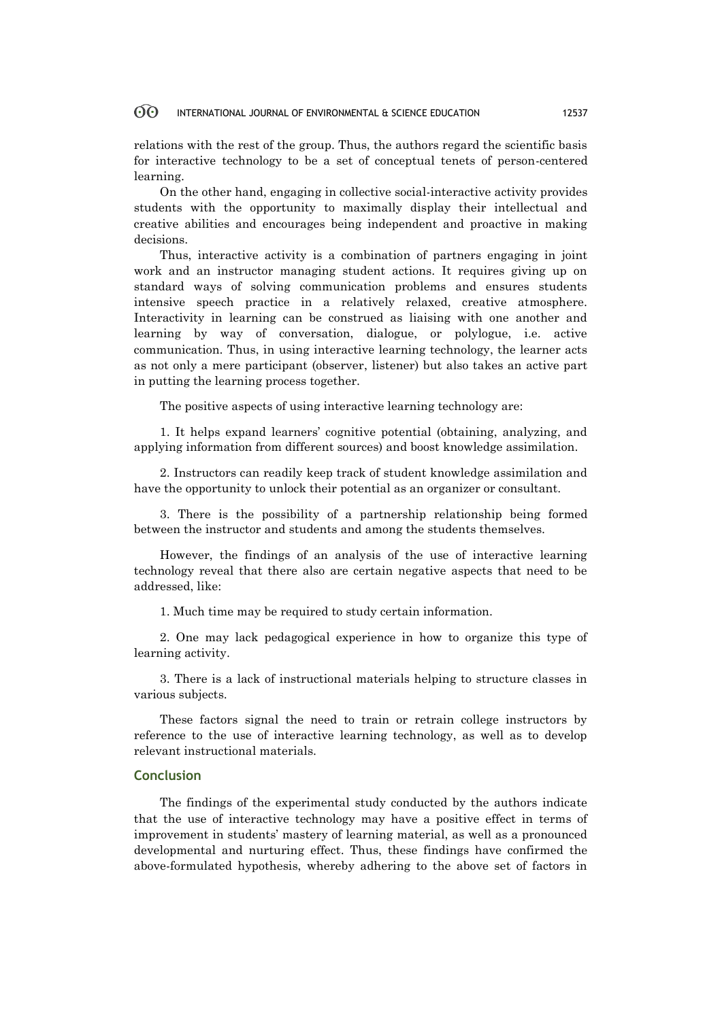relations with the rest of the group. Thus, the authors regard the scientific basis for interactive technology to be a set of conceptual tenets of person-centered learning.

On the other hand, engaging in collective social-interactive activity provides students with the opportunity to maximally display their intellectual and creative abilities and encourages being independent and proactive in making decisions.

Thus, interactive activity is a combination of partners engaging in joint work and an instructor managing student actions. It requires giving up on standard ways of solving communication problems and ensures students intensive speech practice in a relatively relaxed, creative atmosphere. Interactivity in learning can be construed as liaising with one another and learning by way of conversation, dialogue, or polylogue, i.e. active communication. Thus, in using interactive learning technology, the learner acts as not only a mere participant (observer, listener) but also takes an active part in putting the learning process together.

The positive aspects of using interactive learning technology are:

1. It helps expand learners' cognitive potential (obtaining, analyzing, and applying information from different sources) and boost knowledge assimilation.

2. Instructors can readily keep track of student knowledge assimilation and have the opportunity to unlock their potential as an organizer or consultant.

3. There is the possibility of a partnership relationship being formed between the instructor and students and among the students themselves.

However, the findings of an analysis of the use of interactive learning technology reveal that there also are certain negative aspects that need to be addressed, like:

1. Much time may be required to study certain information.

2. One may lack pedagogical experience in how to organize this type of learning activity.

3. There is a lack of instructional materials helping to structure classes in various subjects.

These factors signal the need to train or retrain college instructors by reference to the use of interactive learning technology, as well as to develop relevant instructional materials.

### **Conclusion**

The findings of the experimental study conducted by the authors indicate that the use of interactive technology may have a positive effect in terms of improvement in students' mastery of learning material, as well as a pronounced developmental and nurturing effect. Thus, these findings have confirmed the above-formulated hypothesis, whereby adhering to the above set of factors in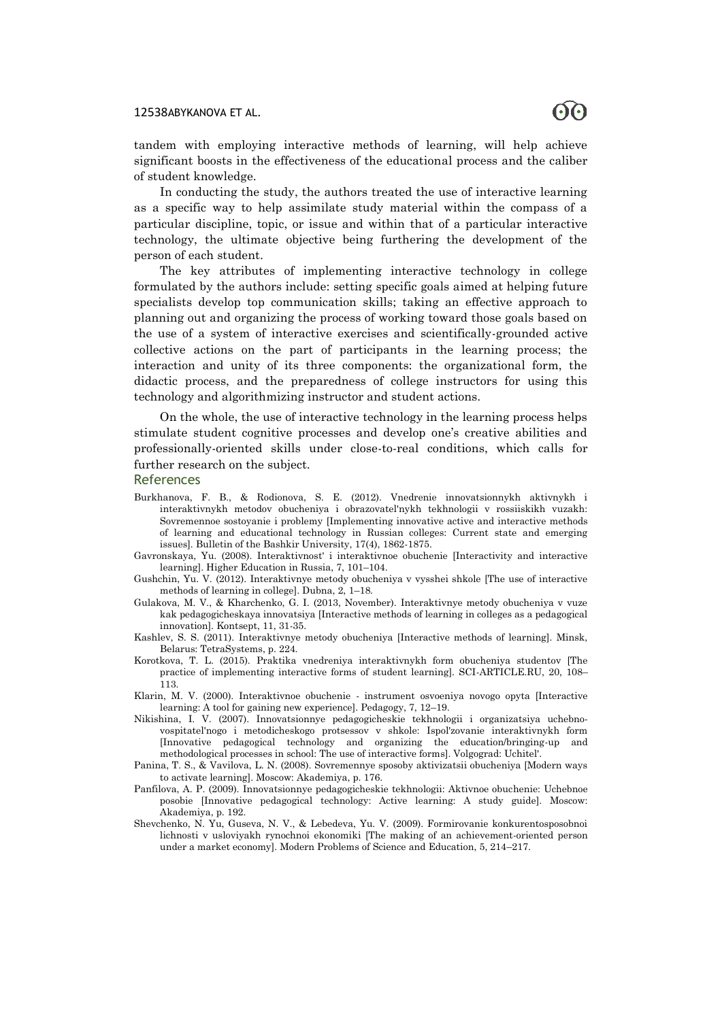tandem with employing interactive methods of learning, will help achieve significant boosts in the effectiveness of the educational process and the caliber of student knowledge.

In conducting the study, the authors treated the use of interactive learning as a specific way to help assimilate study material within the compass of a particular discipline, topic, or issue and within that of a particular interactive technology, the ultimate objective being furthering the development of the person of each student.

The key attributes of implementing interactive technology in college formulated by the authors include: setting specific goals aimed at helping future specialists develop top communication skills; taking an effective approach to planning out and organizing the process of working toward those goals based on the use of a system of interactive exercises and scientifically-grounded active collective actions on the part of participants in the learning process; the interaction and unity of its three components: the organizational form, the didactic process, and the preparedness of college instructors for using this technology and algorithmizing instructor and student actions.

On the whole, the use of interactive technology in the learning process helps stimulate student cognitive processes and develop one's creative abilities and professionally-oriented skills under close-to-real conditions, which calls for further research on the subject.

#### References

- Burkhanova, F. B., & Rodionova, S. E. (2012). Vnedrenie innovatsionnykh aktivnykh i interaktivnykh metodov obucheniya i obrazovatel'nykh tekhnologii v rossiiskikh vuzakh: Sovremennoe sostoyanie i problemy [Implementing innovative active and interactive methods of learning and educational technology in Russian colleges: Current state and emerging issues]. Bulletin of the Bashkir University, 17(4), 1862-1875.
- Gavronskaya, Yu. (2008). Interaktivnost' i interaktivnoe obuchenie [Interactivity and interactive learning]. Higher Education in Russia, 7, 101–104.
- Gushchin, Yu. V. (2012). Interaktivnye metody obucheniya v vysshei shkole [The use of interactive methods of learning in college]. Dubna, 2, 1–18.
- Gulakova, M. V., & Kharchenko, G. I. (2013, November). Interaktivnye metody obucheniya v vuze kak pedagogicheskaya innovatsiya [Interactive methods of learning in colleges as a pedagogical innovation]. Kontsept, 11, 31-35.
- Kashlev, S. S. (2011). Interaktivnye metody obucheniya [Interactive methods of learning]. Minsk, Belarus: TetraSystems, p. 224.
- Korotkova, T. L. (2015). Praktika vnedreniya interaktivnykh form obucheniya studentov [The practice of implementing interactive forms of student learning]. SCI-ARTICLE.RU, 20, 108– 113.
- Klarin, M. V. (2000). Interaktivnoe obuchenie instrument osvoeniya novogo opyta [Interactive learning: A tool for gaining new experience]. Pedagogy, 7, 12–19.
- Nikishina, I. V. (2007). Innovatsionnye pedagogicheskie tekhnologii i organizatsiya uchebnovospitatel'nogo i metodicheskogo protsessov v shkole: Ispol'zovanie interaktivnykh form [Innovative pedagogical technology and organizing the education/bringing-up and methodological processes in school: The use of interactive forms]. Volgograd: Uchitel'.
- Panina, T. S., & Vavilova, L. N. (2008). Sovremennye sposoby aktivizatsii obucheniya [Modern ways to activate learning]. Moscow: Akademiya, p. 176.
- Panfilova, A. P. (2009). Innovatsionnye pedagogicheskie tekhnologii: Aktivnoe obuchenie: Uchebnoe posobie [Innovative pedagogical technology: Active learning: A study guide]. Moscow: Akademiya, p. 192.
- Shevchenko, N. Yu, Guseva, N. V., & Lebedeva, Yu. V. (2009). Formirovanie konkurentosposobnoi lichnosti v usloviyakh rynochnoi ekonomiki [The making of an achievement-oriented person under a market economy]. Modern Problems of Science and Education, 5, 214–217.